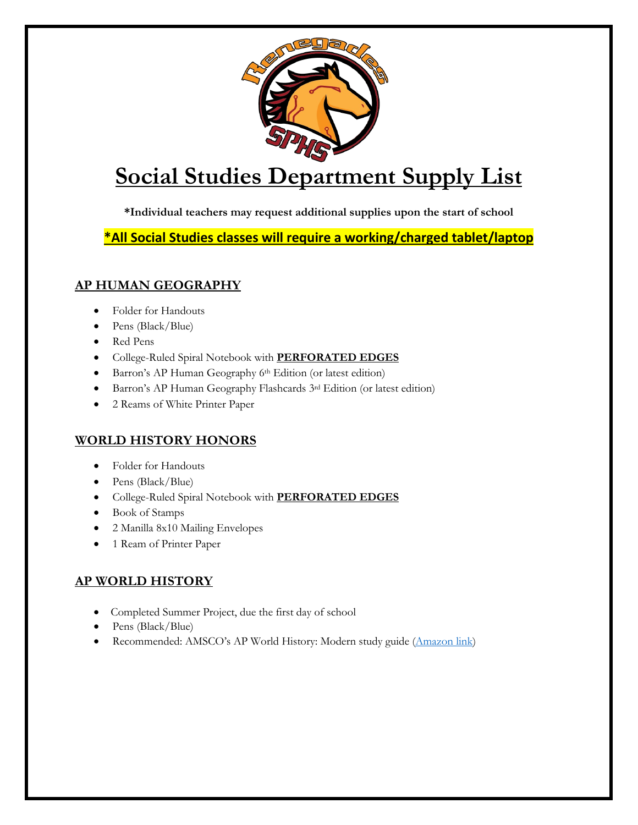

# **Social Studies Department Supply List**

**\*Individual teachers may request additional supplies upon the start of school**

**\*All Social Studies classes will require a working/charged tablet/laptop**

## **AP HUMAN GEOGRAPHY**

- Folder for Handouts
- Pens (Black/Blue)
- Red Pens
- College-Ruled Spiral Notebook with **PERFORATED EDGES**
- Barron's AP Human Geography 6<sup>th</sup> Edition (or latest edition)
- Barron's AP Human Geography Flashcards 3rd Edition (or latest edition)
- 2 Reams of White Printer Paper

## **WORLD HISTORY HONORS**

- Folder for Handouts
- Pens (Black/Blue)
- College-Ruled Spiral Notebook with **PERFORATED EDGES**
- Book of Stamps
- 2 Manilla 8x10 Mailing Envelopes
- 1 Ream of Printer Paper

## **AP WORLD HISTORY**

- Completed Summer Project, due the first day of school
- Pens (Black/Blue)
- Recommended: AMSCO's AP World History: Modern study guide [\(Amazon link\)](https://nam02.safelinks.protection.outlook.com/?url=https%3A%2F%2Fwww.amazon.com%2FAdvanced-Placement-World-History-Modern%2Fdp%2F1531129161%2Fref%3Dsr_1_1%3Fcrid%3D1J0OG2T7Z1E64%26dchild%3D1%26keywords%3Damsco%2Bap%2Bworld%2Bhistory%2Bmodern%26qid%3D1591025270%26sprefix%3Damsco%2Bap%2Bworld%252Caps%252C169%26sr%3D8-1&data=02%7C01%7CMelanie.Ferris%40sarasotacountyschools.net%7Ce1a2422f284c4140c5f908d806406c00%7Cb771da13d31d47459da63a1cc87452d1%7C0%7C0%7C637266221037917081&sdata=G2vYubQD9CLyodzNz2jO866CwfMrRJsaXz526HzAG7M%3D&reserved=0)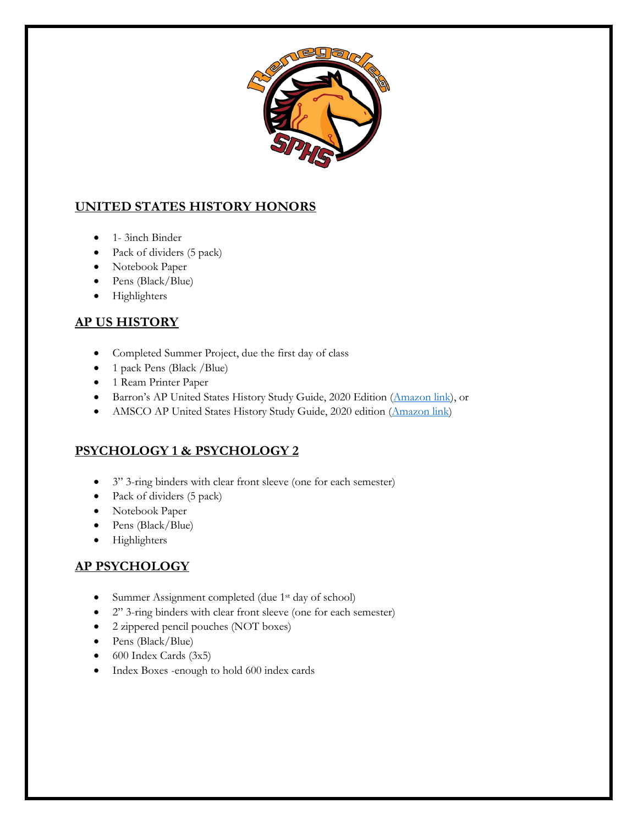

## **UNITED STATES HISTORY HONORS**

- 1- 3inch Binder
- Pack of dividers (5 pack)
- Notebook Paper
- Pens (Black/Blue)
- Highlighters

## **AP US HISTORY**

- Completed Summer Project, due the first day of class
- 1 pack Pens (Black /Blue)
- 1 Ream Printer Paper
- Barron's AP United States History Study Guide, 2020 Edition [\(Amazon link\)](https://www.amazon.com/AP-US-History-Premium-Practice/dp/1506263054/ref=sr_1_4?dchild=1&keywords=ap+us+history&qid=1623679177&sr=8-4), or
- AMSCO AP United States History Study Guide, 2020 edition [\(Amazon link\)](https://www.amazon.com/Advanced-Placement-United-States-History/dp/1531129129/ref=sr_1_6?dchild=1&keywords=ap+us+history&qid=1623679177&sr=8-6)

## **PSYCHOLOGY 1 & PSYCHOLOGY 2**

- 3" 3-ring binders with clear front sleeve (one for each semester)
- Pack of dividers (5 pack)
- Notebook Paper
- Pens (Black/Blue)
- Highlighters

## **AP PSYCHOLOGY**

- Summer Assignment completed (due 1<sup>st</sup> day of school)
- 2" 3-ring binders with clear front sleeve (one for each semester)
- 2 zippered pencil pouches (NOT boxes)
- Pens (Black/Blue)
- 600 Index Cards (3x5)
- Index Boxes -enough to hold 600 index cards